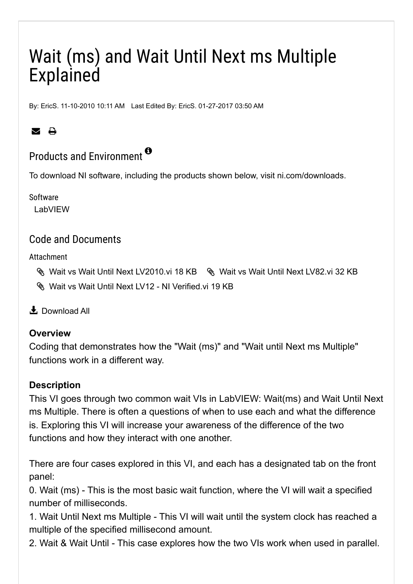# Wait (ms) and Wait Until Next ms Multiple Explained

By: [EricS.](https://forums.ni.com/t5/user/viewprofilepage/user-id/136839) 11-10-2010 10:11 AM Last Edited By: [EricS.](https://forums.ni.com/t5/user/viewprofilepage/user-id/136839) 01-27-2017 03:50 AM

## $\blacksquare$

# Products and Environment  $^{\bullet}$

To download NI software, including the products shown below, visit [ni.com/downloads.](https://www.ni.com/downloads)

Software

LabVIEW

### Code and Documents

Attachment

- [Wait vs Wait Until Next LV2010.vi 18 KB](https://forums.ni.com/ni/attachments/ni/3039/1088/1/Wait%20vs%20Wait%20Until%20Next%20LV2010.vi) [Wait vs Wait Until Next LV82.vi 32 KB](https://forums.ni.com/ni/attachments/ni/3039/1088/2/Wait%20vs%20Wait%20Until%20Next%20LV82.vi)
- [Wait vs Wait Until Next LV12 NI Verified.vi 19 KB](https://forums.ni.com/ni/attachments/ni/3039/1088/3/Wait%20vs%20Wait%20Until%20Next%20LV12%20-%20NI%20Verified.vi)

<u>↓</u> [Download All](javascript:void(0))

#### **Overview**

Coding that demonstrates how the "Wait (ms)" and "Wait until Next ms Multiple" functions work in a different way.

#### **Description**

This VI goes through two common wait VIs in LabVIEW: Wait(ms) and Wait Until Next ms Multiple. There is often a questions of when to use each and what the difference is. Exploring this VI will increase your awareness of the difference of the two functions and how they interact with one another.

There are four cases explored in this VI, and each has a designated tab on the front panel:

0. Wait (ms) - This is the most basic wait function, where the VI will wait a specified number of milliseconds.

1. Wait Until Next ms Multiple - This VI will wait until the system clock has reached a multiple of the specified millisecond amount.

2. Wait & Wait Until - This case explores how the two VIs work when used in parallel.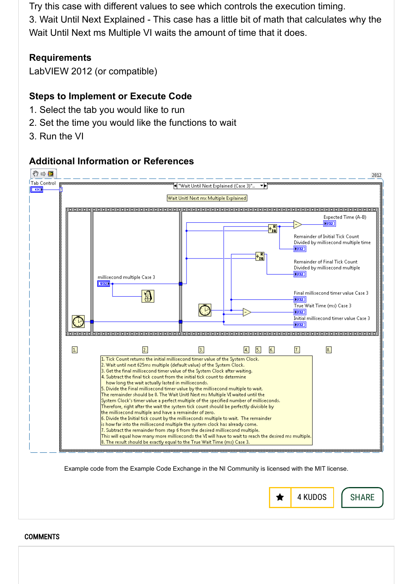Try this case with different values to see which controls the execution timing. 3. Wait Until Next Explained - This case has a little bit of math that calculates why the Wait Until Next ms Multiple VI waits the amount of time that it does.

#### **Requirements**

LabVIEW 2012 (or compatible)

#### **Steps to Implement or Execute Code**

- 1. Select the tab you would like to run
- 2. Set the time you would like the functions to wait
- 3. Run the VI

#### **Additional Information or References**





**COMMENTS**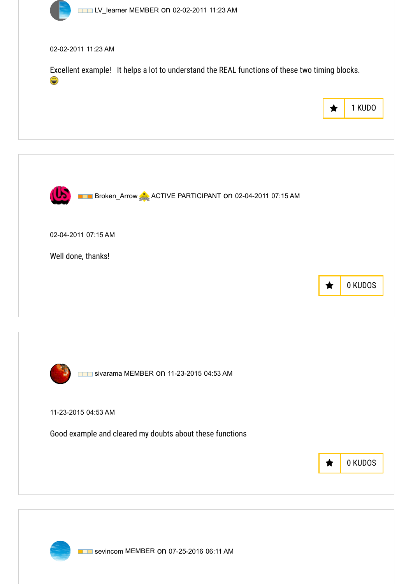